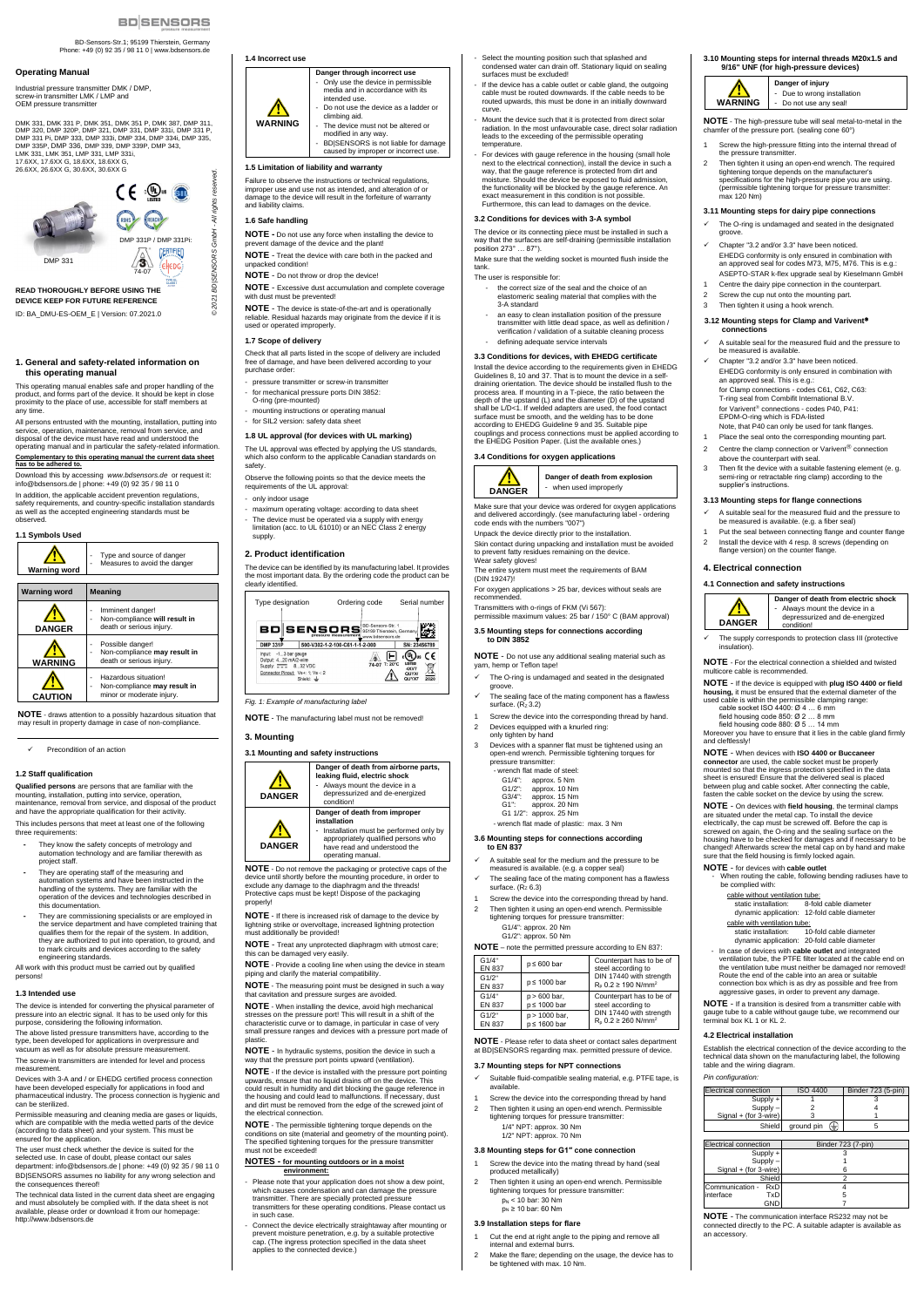BD-Sensors-Str.1; 95199 Thierstein, Germany Phone: +49 (0) 92 35 / 98 11 0 | www.bdsensors.de

Industrial pressure transmitter DMK / DMP, screw-in transmitter LMK / LMP and OEM pressure transmitte

#### **Operating Manual**

DMK 331, DMK 331 P, DMK 351, DMK 351 P, DMK 387, DMP 311, DMP 320, DMP 320P, DMP 321, DMP 331, DMP 331i, DMP 331 P, DMP 331 Pi, DMP 333, DMP 333i, DMP 334, DMP 334i, DMP 335, DMP 335P, DMP 336, DMP 339, DMP 339P, DMP 343, LMK 331, LMK 351, LMP 331, LMP 331i, 17.6XX, 17.6XX G, 18.6XX, 18.6XX G, 26.6XX, 26.6XX G, 30.6XX, 30.6XX G

**READ THOROUGHLY BEFORE USING THE DEVICE KEEP FOR FUTURE REFERENCE** ID: BA\_DMU-ES-OEM\_E | Version: 07.2021.0

## **1. General and safety-related information on this operating manual**

This operating manual enables safe and proper handling of the product, and forms part of the device. It should be kept in close proximity to the place of use, accessible for staff members at any time.

All persons entrusted with the mounting, installation, putting into service, operation, maintenance, removal from service, and disposal of the device must have read and understood the operating manual and in particular the safety-related information. **Complementary to this operating manual the current data sheet has to be adhered to.**

Download this by accessing *www.bdsensors.de* or request it: info@bdsensors.de | phone: +49 (0) 92 35 / 98 11 0

In addition, the applicable accident prevention regulations, safety requirements, and country-specific installation standards as well as the accepted engineering standards must be observed.



Permissible measuring and cleaning media are gases or liquids. which are compatible with the media wetted parts of the device (according to data sheet) and your system. This must be ensured for the application.

**NOTE** - draws attention to a possibly hazardous situation that may result in property damage in case of non-compliance.

Precondition of an action

#### **1.2 Staff qualification**

**Qualified persons** are persons that are familiar with the mounting, installation, putting into service, operation, maintenance, removal from service, and disposal of the product and have the appropriate qualification for their activity.

This includes persons that meet at least one of the following three requirements:

- **-** They know the safety concepts of metrology and automation technology and are familiar therewith as project staff.
- **-** They are operating staff of the measuring and automation systems and have been instructed in the handling of the systems. They are familiar with the operation of the devices and technologies described in this documentation.
- **-** They are commissioning specialists or are employed in the service department and have completed training that qualifies them for the repair of the system. In addition, they are authorized to put into operation, to ground, and to mark circuits and devices according to the safety engineering standards.

All work with this product must be carried out by qualified persons!

#### **1.3 Intended use**

The device is intended for converting the physical parameter of pressure into an electric signal. It has to be used only for this purpose, considering the following information.

The above listed pressure transmitters have, according to the type, been developed for applications in overpressure and vacuum as well as for absolute pressure measurement.

The screw-in transmitters are intended for level and process measurement.

Devices with 3-A and / or EHEDG certified process connection have been developed especially for applications in food and pharmaceutical industry. The process connection is hygienic and can be sterilized.

The user must check whether the device is suited for the selected use. In case of doubt, please contact our sales department: info@bdsensors.de | phone: +49 (0) 92 35 / 98 11 0 BD|SENSORS assumes no liability for any wrong selection and the consequences thereof!

The technical data listed in the current data sheet are engaging and must absolutely be complied with. If the data sheet is not available, please order or download it from our homepage: http://www.bdsensors.de

#### **1.4 Incorrect use**

- Please note that your application does not show a dew point, which causes condensation and can damage the pressure transmitter. There are specially protected pressure transmitters for these operating conditions. Please contact us in such case.
- Connect the device electrically straightaway after mounting or prevent moisture penetration, e.g. by a suitable protective cap. (The ingress protection specified in the data sheet applies to the connected device.)



caused by improper or incorrect use.

## **1.5 Limitation of liability and warranty**

Failure to observe the instructions or technical regulations, improper use and use not as intended, and alteration of or damage to the device will result in the forfeiture of warranty and liability claims.

#### **1.6 Safe handling**

© 2021

**NOTE -** Do not use any force when installing the device to prevent damage of the device and the plant!

**NOTE** - Treat the device with care both in the packed and unpacked condition!

**NOTE** - Do not throw or drop the device!

**NOTE** - Excessive dust accumulation and complete coverage with dust must be prevented!

**NOTE** - The device is state-of-the-art and is operationally reliable. Residual hazards may originate from the device if it is used or operated improperly.

#### **1.7 Scope of delivery**

Check that all parts listed in the scope of delivery are included free of damage, and have been delivered according to your purchase order:

- pressure transmitter or screw-in transmitter
- for mechanical pressure ports DIN 3852: O-ring (pre-mounted)
- mounting instructions or operating manual
- for SIL2 version: safety data shee

**DANGER Danger of death from explosion** when used improperly

#### **1.8 UL approval (for devices with UL marking)**

The UL approval was effected by applying the US standards, which also conform to the applicable Canadian standards on safety.

Observe the following points so that the device meets the requirements of the UL approval:

- only indoor usage
- maximum operating voltage: according to data sheet The device must be operated via a supply with energy limitation (acc. to UL 61010) or an NEC Class 2 energy supply.

#### **2. Product identification**

- The O-ring is undamaged and seated in the designated
- groove. The sealing face of the mating component has a flawless
- surface.  $(R_z 3.2)$
- Screw the device into the corresponding thread by hand.
- 2 Devices equipped with a knurled ring: only tighten by hand
- 3 Devices with a spanner flat must be tightened using an open-end wrench. Permissible tightening torques for pressure transmitter:
	- wrench flat made of steel:
	- G1/4": approx. 5 Nm<br>G1/2": approx. 10 Nn
	- G1/2": approx. 10 Nm<br>G3/4": approx. 15 Nm
	- G3/4": approx. 15 Nm<br>G1": approx. 20 Nm approx. 20 Nm
	- G1 1/2": approx. 25 Nm
	- wrench flat made of plastic: max. 3 Nm

The device can be identified by its manufacturing label. It provides the most important data. By the ordering code the product can be clearly identified.

### *Fig. 1: Example of manufacturing label*

- A suitable seal for the medium and the pressure to be measured is available. (e.g. a copper seal)
- The sealing face of the mating component has a flawless surface.  $(R<sub>7</sub> 6.3)$
- Screw the device into the corresponding thread by hand. 2 Then tighten it using an open-end wrench. Permissible tightening torques for pressure transmitter: G1/4": approx. 20 Nm

**NOTE** - The manufacturing label must not be removed!

## **3. Mounting**

**3.1 Mounting and safety instructions**



- Suitable fluid-compatible sealing material, e.g. PTFE tape, is available.
- Screw the device into the corresponding thread by hand
- 2 Then tighten it using an open-end wrench. Permissible tightening torques for pressure transmitter:

- Screw the device into the mating thread by hand (seal produced metallically)
- 2 Then tighten it using an open-end wrench. Permissible tightening torques for pressure transmitter:

 $p_N < 10$  bar: 30 Nm  $p_N \ge 10$  bar: 60 Nm

**NOTE** - Do not remove the packaging or protective caps of the device until shortly before the mounting procedure, in order to exclude any damage to the diaphragm and the threads! Protective caps must be kept! Dispose of the packaging properly!

- Cut the end at right angle to the piping and remove all internal and external burrs.
- 2 Make the flare; depending on the usage, the device has to be tightened with max. 10 Nm.

**NOTE** - If there is increased risk of damage to the device by lightning strike or overvoltage, increased lightning protection must additionally be provided!

**NOTE** - Treat any unprotected diaphragm with utmost care; this can be damaged very easily.

**3.11 Mounting steps for dairy pipe connections** The O-ring is undamaged and seated in the designated

Chapter "3.2 and/or 3.3" have been noticed. EHEDG conformity is only ensured in combination with an approved seal for codes M73, M75, M76. This is e.g.: ASEPTO-STAR k-flex upgrade seal by Kieselmann GmbH Centre the dairy pipe connection in the counterpart.

**NOTE** - Provide a cooling line when using the device in steam piping and clarify the material compatibility.

**NOTE** - The measuring point must be designed in such a

- Select the mounting position such that splashed and condensed water can drain off. Stationary liquid on sealing surfaces must be excluded!
- If the device has a cable outlet or cable gland, the outgoing cable must be routed downwards. If the cable needs to be routed upwards, this must be done in an initially downward curve.
- Mount the device such that it is protected from direct solar radiation. In the most unfavourable case, direct solar radiation leads to the exceeding of the permissible operating temperature.
- For devices with gauge reference in the housing (small hole next to the electrical connection), install the device in such a way, that the gauge reference is protected from dirt and moisture. Should the device be exposed to fluid admission, the functionality will be blocked by the gauge reference. An exact measurement in this condition is not possible. Furthermore, this can lead to damages on the device.

that cavitation and pressure surges are avoided.

2 Screw the cup nut onto the mounting part. 3 Then tighten it using a hook wrench.

**NOTE** - When installing the device, avoid high mechanical stresses on the pressure port! This will result in a shift of the characteristic curve or to damage, in particular in case of very small pressure ranges and devices with a pressure port made of plastic.

Chapter "3.2 and/or 3.3" have been noticed. EHEDG conformity is only ensured in combination with

Note, that P40 can only be used for tank flanges. 1 Place the seal onto the corresponding mounting part. 2 Centre the clamp connection or Varivent $^{\circledR}$  connection

**NOTE** - In hydraulic systems, position the device in such a way that the pressure port points upward (ventilation).

3 Then fit the device with a suitable fastening element (e. g. semi-ring or retractable ring clamp) according to the

A suitable seal for the measured fluid and the pressure to

Put the seal between connecting flange and counter flange 2 Install the device with 4 resp. 8 screws (depending on flange version) on the counter flange.

ndition. The supply corresponds to protection class III (protective

**NOTE** - If the device is installed with the pressure port pointing upwards, ensure that no liquid drains off on the device. This could result in humidity and dirt blocking the gauge reference in the housing and could lead to malfunctions. If necessary, dust and dirt must be removed from the edge of the screwed joint of the electrical connection.

**NOTE** - The permissible tightening torque depends on the conditions on site (material and geometry of the mounting point). The specified tightening torques for the pressure transmitt must not be exceeded!

#### **NOTES - for mounting outdoors or in a moist environment:**

sure that the field housing is firmly locked again. **NOTE** - for devices with **cable outlet**

**NOTE** - If a transition is desired from a transmitter cable with gauge tube to a cable without gauge tube, we recommend our erminal box KL 1 or KL 2.

When routing the cable, following bending radiuses have to

 $\overline{10}$ -fold cable diameter



#### **3.2 Conditions for devices with 3-A symbol**

The device or its connecting piece must be installed in such a way that the surfaces are self-draining (permissible installation position 273° … 87°).

Make sure that the welding socket is mounted flush inside the tank.

The user is responsible for:

- the correct size of the seal and the choice of an elastomeric sealing material that complies with the 3-A standard
- an easy to clean installation position of the pressure transmitter with little dead space, as well as definition / verification / validation of a suitable cleaning process
- defining adequate service intervals

#### **3.3 Conditions for devices, with EHEDG certificate**

Install the device according to the requirements given in EHEDG Guidelines 8, 10 and 37. That is to mount the device in a selfdraining orientation. The device should be installed flush to the process area. If mounting in a T-piece, the ratio between the depth of the upstand (L) and the diameter (D) of the upstand shall be L/D<1. If welded adapters are used, the food contact surface must be smooth, and the welding has to be done according to EHEDG Guideline 9 and 35. Suitable pipe couplings and process connections must be applied according to the EHEDG Position Paper. (List the available ones.)

## **3.4 Conditions for oxygen applications**



Make sure that your device was ordered for oxygen applications and delivered accordingly. (see manufacturing label - ordering code ends with the numbers "007") Unpack the device directly prior to the installation.

Skin contact during unpacking and installation must be avoided to prevent fatty residues remaining on the device. Wear safety gloves!

The entire system must meet the requirements of BAM (DIN 19247)!

For oxygen applications > 25 bar, devices without seals are recommended.

Transmitters with o-rings of FKM (Vi 567): permissible maximum values: 25 bar / 150° C (BAM approval)

#### **3.5 Mounting steps for connections according to DIN 3852**

**NOTE** - Do not use any additional sealing material such as yarn, hemp or Teflon tape!

#### **3.6 Mounting steps for connections according to EN 837**

G1/2": approx. 50 Nm

#### **NOTE** – note the permitted pressure according to EN 837: G1/4"<br>EN 837  $p \leq 600$  bar Counterpart has to be of steel according to DIN 17440 with strength  $R_0$  0.2 ≥ 190 N/mm<sup>2</sup> G1/2" EN 837 <sup>p</sup> ≤ 1000 bar

| ----          |                   |                                        |
|---------------|-------------------|----------------------------------------|
| G1/4"         | $p > 600$ bar,    | Counterpart has to be of               |
| <b>EN 837</b> | p ≤ 1000 bar      | steel according to                     |
| G1/2"         | p > 1000 bar,     | DIN 17440 with strength                |
| EN 837        | $p \leq 1600$ bar | $R_0$ 0.2 $\geq$ 260 N/mm <sup>2</sup> |

**NOTE** - Please refer to data sheet or contact sales department at BD|SENSORS regarding max. permitted pressure of device.

#### **3.7 Mounting steps for NPT connections**

1/4" NPT: approx. 30 Nm 1/2" NPT: approx. 70 Nm

#### **3.8 Mounting steps for G1″ cone connection**

#### **3.9 Installation steps for flare**

**3.10 Mounting steps for internal threads M20x1.5 and 9/16" UNF (for high-pressure devices)**

**WARNING**

**Danger of injury** - Due to wrong installation - Do not use any seal! **NOTE** - The high-pressure tube will seal metal-to-metal in the

Screw the high-pressure fitting into the internal thread of

chamfer of the pressure port. (sealing cone 60°)

the pressure transmitter.

2 Then tighten it using an open-end wrench. The required tightening torque depends on the manufacturer's specifications for the high-pressure pipe you are using. (permissible tightening torque for pressure transmitter:

max 120 Nm)

groove.

**3.12 Mounting steps for Clamp and Varivent**

**connections**

be measured is available.

an approved seal. This is e.g.:

for Clamp connections - codes C61, C62, C63: T-ring seal from Combifit International B.V. for Varivent<sup>®</sup> connections - codes P40, P41: EPDM-O-ring which is FDA-listed

above the counterpart with seal.

supplier's instructions.

**3.13 Mounting steps for flange connections**

be measured is available. (e.g. a fiber seal)

**4. Electrical connection**

**4.1 Connection and safety instructions**

**DANGER**

**Danger of death from electric shock**  Always mount the device in a depressurized and de-energized

A suitable seal for the measured fluid and the pressure to

insulation).

**NOTE** - For the electrical connection a shielded and twisted

multicore cable is recommended.

**NOTE** - If the device is equipped with **plug ISO 4400 or field housing,** it must be ensured that the external diameter of the used cable is within the permissible clamping range:<br>cable socket ISO 4400: Ø 4 ... 6 mm field housing code 850: Ø 2 … 8 mm field housing code 880: Ø 5 … 14 mm

Moreover you have to ensure that it lies in the cable gland firmly

and cleftlessly!

**NOTE** - When devices with **ISO 4400 or Buccaneer connector** are used, the cable socket must be properly mounted so that the ingress protection specified in the data sheet is ensured! Ensure that the delivered seal is placed between plug and cable socket. After connecting the cable, fasten the cable socket on the device by using the screw. **NOTE** - On devices with **field housing**, the terminal clamps are situated under the metal cap. To install the device electrically, the cap must be screwed off. Before the cap is screwed on again, the O-ring and the sealing surface on the housing have to be checked for damages and if necessary to be changed! Afterwards screw the metal cap on by hand and make

be complied with:

cable without ventilation tube:

cable with ventilation tube:<br>static installation: 10

static installation: 8-fold cable diameter dynamic application: 12-fold cable diameter

dynamic application: 20-fold cable diameter - In case of devices with **cable outlet** and integrated ventilation tube, the PTFE filter located at the cable end on the ventilation tube must neither be damaged nor removed!

Route the end of the cable into an area or suitable connection box which is as dry as possible and free from aggressive gases, in order to prevent any damage.

#### **4.2 Electrical installation**

Establish the electrical connection of the device according to the technical data shown on the manufacturing label, the following table and the wiring diagram.

*Pin configuration:*

| Electrical connection | <b>ISO 4400</b>                          | Binder 723 (5-pin) |  |
|-----------------------|------------------------------------------|--------------------|--|
| $Supply +$            |                                          |                    |  |
| $Supply -$            |                                          |                    |  |
| Signal + (for 3-wire) |                                          |                    |  |
| Shield                | ground pin<br>$\left(\frac{1}{2}\right)$ |                    |  |

| Electrical connection         | Binder 723 (7-pin) |
|-------------------------------|--------------------|
| Supply +                      |                    |
| Supply                        |                    |
| Signal + (for 3-wire)         |                    |
| Shield                        |                    |
| Communication -<br><b>RxD</b> |                    |
| interface<br>TxD              |                    |
|                               |                    |

**NOTE** - The communication interface RS232 may not be connected directly to the PC. A suitable adapter is available as an accessory.

| Type designation                                                                                                    |                                | Ordering code |                                                            |                                                | Serial number    |
|---------------------------------------------------------------------------------------------------------------------|--------------------------------|---------------|------------------------------------------------------------|------------------------------------------------|------------------|
| $\mathbf{BD}$ <b>SENSORS</b> 95199 Thierstein, Germany                                                              |                                |               | BD-Sensors-Str. 1<br>pressure measurement_www.bdsensors.de |                                                |                  |
| <b>DMP 331P</b>                                                                                                     | 500-V302-1-2-100-C61-1-1-2-000 |               |                                                            |                                                | SN: 23456789     |
| Input: -13 bar gauge<br>Output: 420 mA/2-wire<br>Supply: $\frac{1}{2}$ 832 VDC<br>Connector Pinout: Vs+: 1: Vs -: 2 | Shield: $\pm$                  |               | 74-07 T: 20°C                                              | <b>LISTED</b><br><b>4XV7</b><br>QUYX/<br>QUYX7 | ٢F<br>US<br>2020 |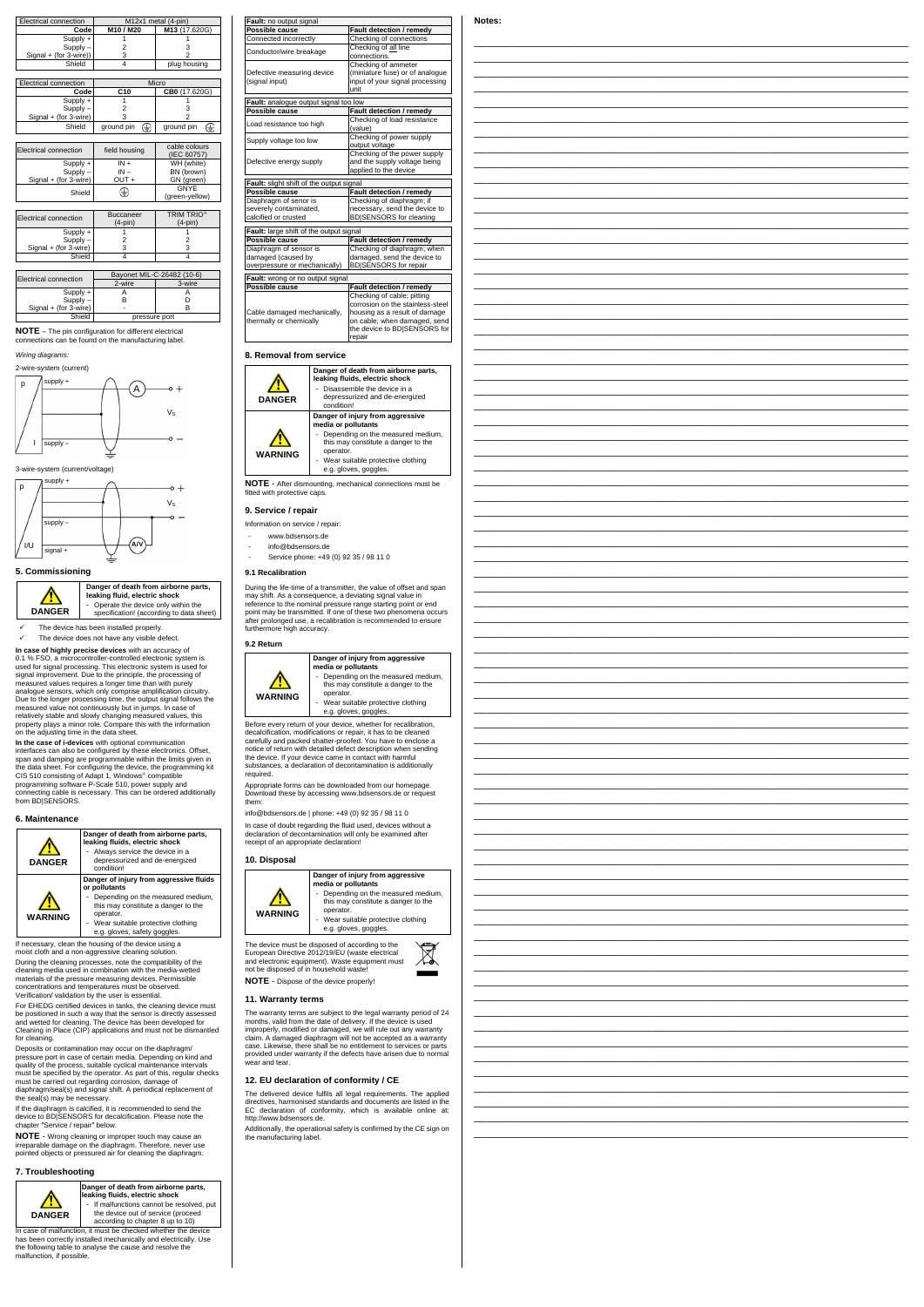| Electrical connection  | M12x1 metal (4-pin)                           |                 |  |  |
|------------------------|-----------------------------------------------|-----------------|--|--|
| Code                   | M10 / M20                                     | M13 (17.620G)   |  |  |
| Supply +               |                                               |                 |  |  |
| Supply -               | 2                                             |                 |  |  |
| Signal + (for 3-wire)) | 3                                             |                 |  |  |
| Shield                 | 4                                             | plug housing    |  |  |
|                        |                                               |                 |  |  |
| Electrical connection  | Micro                                         |                 |  |  |
| Code                   | C <sub>10</sub><br>CB0 (17.620G)              |                 |  |  |
| Supply +               |                                               |                 |  |  |
| Supply -               | 2<br>з                                        |                 |  |  |
| Signal + (for 3-wire)  |                                               |                 |  |  |
| Shield                 | ground pin<br>₩                               | €<br>ground pin |  |  |
|                        |                                               |                 |  |  |
| Electrical connection  | cable colours<br>field housing<br>(IEC 60757) |                 |  |  |
| $C$ unnlu i            | $MLL$ (white)<br>IN.                          |                 |  |  |

| $Supply +$            | $IN +$  | WH (white)     |
|-----------------------|---------|----------------|
| $Supply -$            | $IN -$  | BN (brown)     |
| Signal + (for 3-wire) | $OUT +$ | GN (green)     |
| Shield                | ⊕       | GNYE           |
|                       |         | (green-yellow) |

| Electrical connection | <b>Buccaneer</b><br>$(4$ -pin $)$ | <b>TRIM TRIO®</b><br>$(4-pin)$ |
|-----------------------|-----------------------------------|--------------------------------|
| $Supply +$            |                                   |                                |
| $Supply -$            |                                   |                                |
| Signal + (for 3-wire) |                                   |                                |
| Shield                |                                   |                                |

| <b>Electrical connection</b> | Bayonet MIL-C-26482 (10-6) |        |  |  |
|------------------------------|----------------------------|--------|--|--|
|                              | 2-wire                     | 3-wire |  |  |
| $Supply +$                   |                            |        |  |  |
| $Supply -$                   |                            |        |  |  |
| Signal + (for 3-wire)        |                            |        |  |  |
| Shield                       | pressure port              |        |  |  |

**NOTE** – The pin configuration for different electrical connections can be found on the manufacturing label.

*Wiring diagrams:*

#### 3-wire-system (current/voltage)

## **5. Commissioning**



**Danger of death from airborne parts, leaking fluid, electric shock**  - Operate the device only within the specification! (according to data sheet)

 $\checkmark$  The device has been installed properly.  $\checkmark$  The device does not have any visible defect.

**In case of highly precise devices** with an accuracy of 0.1 % FSO, a microcontroller-controlled electronic system is used for signal processing. This electronic system is used for signal improvement. Due to the principle, the processing of measured values requires a longer time than with purely analogue sensors, which only comprise amplification circuitry. Due to the longer processing time, the output signal follows the measured value not continuously but in jumps. In case of relatively stable and slowly changing measured values, this property plays a minor role. Compare this with the information on the adjusting time in the data sheet.

**In the case of i-devices** with optional communication interfaces can also be configured by these electronics. Offset, span and damping are programmable within the limits given in the data sheet. For configuring the device, the programming kit CIS 510 consisting of Adapt 1, Windows compatible programming software P-Scale 510, power supply and connecting cable is necessary. This can be ordered additionally from BD|SENSORS.

In case of malfunction, it must be checked whether the device has been correctly installed mechanically and electrically. Use the following table to analyse the cause and resolve the malfunction, if possible.

# **6. Maintenance**



If necessary, clean the housing of the device using a moist cloth and a non-aggressive cleaning solution. During the cleaning processes, note the compatibility of the cleaning media used in combination with the media-wetted materials of the pressure measuring devices. Permissible d temperatures must be obs Verification/ validation by the user is essential.

For EHEDG certified devices in tanks, the cleaning device must be positioned in such a way that the sensor is directly assessed and wetted for cleaning. The device has been developed for Cleaning in Place (CIP) applications and must not be dismantled for cleaning.

During the life-time of a transmitter, the value may shift. As a consequence, a deviating sign reference to the nominal pressure range starti point may be transmitted. If one of these two p after prolonged use, a recalibration is recommended furthermore high accuracy.

Deposits or contamination may occur on the diaphragm/ pressure port in case of certain media. Depending on kind and quality of the process, suitable cyclical maintenance intervals must be specified by the operator. As part of this, regular checks must be carried out regarding corrosion, damage of diaphragm/seal(s) and signal shift. A periodical replacement of the seal(s) may be necessary.

Before every return of your device, whether for decalcification, modifications or repair, it has to carefully and packed shatter-proofed. You have notice of return with detailed defect description the device. If your device came in contact with substances, a declaration of decontamination required.

Appropriate forms can be downloaded from our Download these by accessing www.bdsensor them:

info@bdsensors.de | phone: +49 (0) 92 35 / 98

If the diaphragm is calcified, it is recommended to send the device to BD|SENSORS for decalcification. Please note the chapter ″Service / repair″ below.

In case of doubt regarding the fluid used, devi declaration of decontamination will only be exreceipt of an appropriate declaration!

**NOTE** - Wrong cleaning or improper touch may cause an irreparable damage on the diaphragm. Therefore, never use pointed objects or pressured air for cleaning the diaphragm.

#### **7. Troubleshooting**



The warranty terms are subject to the legal warranty period of 24 months, valid from the date of delivery. If the device is used improperly, modified or damaged, we will rule out any warranty claim. A damaged diaphragm will not be accepted as a warranty case. Likewise, there shall be no entitlement to services or parts provided under warranty if the defects have arisen due to normal .<br>wear and tear

**Danger of death from airborne parts, leaking fluids, electric shock**  If malfunctions cannot be resolved, put the device out of service (proceed according to chapter 8 up to 10)



| Fault: no output signal                  |                                  |  |  |
|------------------------------------------|----------------------------------|--|--|
| Possible cause                           | Fault detection / remedy         |  |  |
| Connected incorrectly                    | Checking of connections          |  |  |
| Conductor/wire breakage                  | Checking of all line             |  |  |
|                                          | connections.                     |  |  |
|                                          | Checking of ammeter              |  |  |
| Defective measuring device               | (miniature fuse) or of analoque  |  |  |
| (signal input)                           | input of your signal processing  |  |  |
|                                          | unit                             |  |  |
| Fault: analogue output signal too low    |                                  |  |  |
| Possible cause                           | Fault detection / remedy         |  |  |
|                                          | Checking of load resistance      |  |  |
| Load resistance too high                 | (value)                          |  |  |
|                                          | Checking of power supply         |  |  |
| Supply voltage too low                   | output voltage                   |  |  |
|                                          | Checking of the power supply     |  |  |
| Defective energy supply                  | and the supply voltage being     |  |  |
|                                          | applied to the device            |  |  |
| Fault: slight shift of the output signal |                                  |  |  |
| Possible cause                           | Fault detection / remedy         |  |  |
| Diaphragm of senor is                    | Checking of diaphragm; if        |  |  |
| severely contaminated,                   | necessary, send the device to    |  |  |
| calcified or crusted                     | <b>BDISENSORS</b> for cleaning   |  |  |
|                                          |                                  |  |  |
| Fault: large shift of the output signal  |                                  |  |  |
| Possible cause                           | <b>Fault detection / remedy</b>  |  |  |
| Diaphragm of sensor is                   | Checking of diaphragm; when      |  |  |
| damaged (caused by                       | damaged, send the device to      |  |  |
| overpressure or mechanically)            | <b>BD</b>  SENSORS for repair    |  |  |
| Fault: wrong or no output signal         |                                  |  |  |
| Possible cause                           | Fault detection / remedy         |  |  |
|                                          | Checking of cable; pitting       |  |  |
|                                          | corrosion on the stainless-steel |  |  |

Cable damaged mechanically, thermally or chemically

| the device to<br>repair |
|-------------------------|
|                         |





**NOTE** - After dismounting, mechanical connections fitted with protective caps.

# **9. Service / repair**

Information on service / repair:

- www.bdsensors.de
- info@bdsensors.de
- Service phone: +49 (0) 92 35 / 98 11 0

### **9.1 Recalibration**

#### **9.2 Return**



**10. Disposal**





### **11. Warranty terms**

## **12. EU declaration of conformity / CE**

The delivered device fulfils all legal requirements. The applied directives, harmonised standards and documents are listed in the EC declaration of conformity, which is available online at: http://www.bdsensors.de.

Additionally, the operational safety is confirmed by the CE sign on the manufacturing label.

# **Notes:**



| , aun accección / Tenica<br>Checking of connections<br>Checking of all line                     |  |
|-------------------------------------------------------------------------------------------------|--|
| connections.<br>Checking of ammeter<br>(miniature fuse) or of analogue                          |  |
| input of your signal processing<br>unit                                                         |  |
| low<br>Fault detection / remedy<br>Checking of load resistance                                  |  |
| (value)<br>Checking of power supply<br>output voltage                                           |  |
| Checking of the power supply<br>and the supply voltage being                                    |  |
| applied to the device<br>nal<br>Fault detection / remedy                                        |  |
| Checking of diaphragm; if<br>necessary, send the device to<br>BD SENSORS for cleaning           |  |
| nal<br>Fault detection / remedy                                                                 |  |
| Checking of diaphragm; when<br>damaged, send the device to                                      |  |
| BD SENSORS for repair<br>Fault detection / remedy                                               |  |
| Checking of cable; pitting<br>corrosion on the stainless-steel<br>housing as a result of damage |  |
| on cable; when damaged, send<br>the device to BD SENSORS for                                    |  |
| repair                                                                                          |  |
| death from airborne parts,<br>ds, electric shock                                                |  |
| nble the device in a<br>urized and de-energized                                                 |  |
| njury from aggressive<br>ollutants                                                              |  |
| ng on the measured medium,<br>constitute a danger to the                                        |  |
| itable protective clothing<br>es, goggles.                                                      |  |
| hanical connections must be                                                                     |  |
|                                                                                                 |  |
|                                                                                                 |  |
| 35 / 98 11 0                                                                                    |  |
| er, the value of offset and span<br>eviating signal value in                                    |  |
| range starting point or end<br>f these two phenomena occurs<br>n is recommended to ensure       |  |
|                                                                                                 |  |
| njury from aggressive<br>ollutants                                                              |  |
| ng on the measured medium,<br>constitute a danger to the                                        |  |
| itable protective clothing<br>es, goggles.                                                      |  |
| e, whether for recalibration,<br>pair, it has to be cleaned<br>fed. You have to enclose a       |  |
| ct description when sending<br>contact with harmful<br>ntamination is additionally              |  |
| aded from our homepage.                                                                         |  |
| w.bdsensors.de or request<br>(0) 92 35 / 98 11 0                                                |  |
| d used, devices without a<br>Il only be examined after                                          |  |
| ion!                                                                                            |  |
| njury from aggressive<br>ollutants                                                              |  |
| ng on the measured medium,<br>constitute a danger to the                                        |  |
| itable protective clothing<br>es, goggles.                                                      |  |
| ccording to the<br>waste electrical                                                             |  |
| equipment must<br>vaste!                                                                        |  |
| roperly!                                                                                        |  |
| the legal warranty period of 24                                                                 |  |

\_\_\_\_\_\_\_\_\_\_\_\_\_\_\_\_\_\_\_\_\_\_\_\_\_\_\_\_\_\_\_\_\_\_\_\_\_\_\_\_\_\_\_\_\_\_\_\_\_\_\_\_\_\_\_\_\_\_\_\_\_\_\_\_\_\_ \_\_\_\_\_\_\_\_\_\_\_\_\_\_\_\_\_\_\_\_\_\_\_\_\_\_\_\_\_\_\_\_\_\_\_\_\_\_\_\_\_\_\_\_\_\_\_\_\_\_\_\_\_\_\_\_\_\_\_\_\_\_\_\_\_\_ \_\_\_\_\_\_\_\_\_\_\_\_\_\_\_\_\_\_\_\_\_\_\_\_\_\_\_\_\_\_\_\_\_\_\_\_\_\_\_\_\_\_\_\_\_\_\_\_\_\_\_\_\_\_\_\_\_\_\_\_\_\_\_\_\_\_ \_\_\_\_\_\_\_\_\_\_\_\_\_\_\_\_\_\_\_\_\_\_\_\_\_\_\_\_\_\_\_\_\_\_\_\_\_\_\_\_\_\_\_\_\_\_\_\_\_\_\_\_\_\_\_\_\_\_\_\_\_\_\_\_\_\_ \_\_\_\_\_\_\_\_\_\_\_\_\_\_\_\_\_\_\_\_\_\_\_\_\_\_\_\_\_\_\_\_\_\_\_\_\_\_\_\_\_\_\_\_\_\_\_\_\_\_\_\_\_\_\_\_\_\_\_\_\_\_\_\_\_\_ \_\_\_\_\_\_\_\_\_\_\_\_\_\_\_\_\_\_\_\_\_\_\_\_\_\_\_\_\_\_\_\_\_\_\_\_\_\_\_\_\_\_\_\_\_\_\_\_\_\_\_\_\_\_\_\_\_\_\_\_\_\_\_\_\_\_ \_\_\_\_\_\_\_\_\_\_\_\_\_\_\_\_\_\_\_\_\_\_\_\_\_\_\_\_\_\_\_\_\_\_\_\_\_\_\_\_\_\_\_\_\_\_\_\_\_\_\_\_\_\_\_\_\_\_\_\_\_\_\_\_\_\_ \_\_\_\_\_\_\_\_\_\_\_\_\_\_\_\_\_\_\_\_\_\_\_\_\_\_\_\_\_\_\_\_\_\_\_\_\_\_\_\_\_\_\_\_\_\_\_\_\_\_\_\_\_\_\_\_\_\_\_\_\_\_\_\_\_\_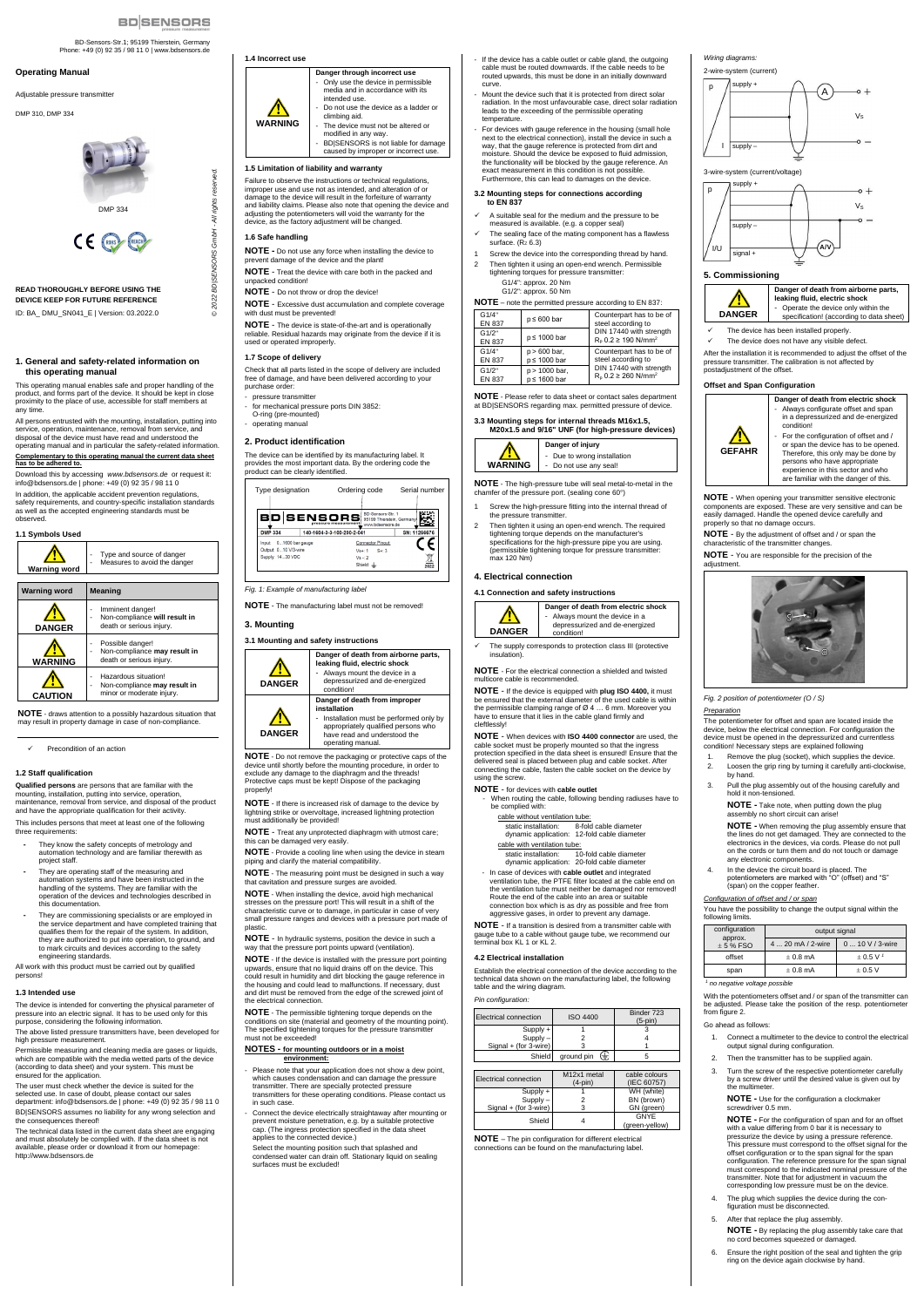BD-Sensors-Str.1; 95199 Thierstein, Germany Phone: +49 (0) 92 35 / 98 11 0 | www.bdsensors.de

*© 2022 BD|SENSORS GmbH - All rights reserved.* 

BD|SENSORS GmbH-

**©2022** 

reserved

- All rights

#### **Operating Manual**

Adjustable pressure transmitter

DMP 310, DMP 334



### **READ THOROUGHLY BEFORE USING THE DEVICE KEEP FOR FUTURE REFERENCE** ID: BA\_ DMU\_SN041\_E | Version: 03.2022.0

#### **1. General and safety-related information on this operating manual**

This operating manual enables safe and proper handling of the product, and forms part of the device. It should be kept in close proximity to the place of use, accessible for staff members at any time.

All persons entrusted with the mounting, installation, putting into service, operation, maintenance, removal from service, and disposal of the device must have read and understood the operating manual and in particular the safety-related information. **Complementary to this operating manual the current data sheet has to be adhered to.**

Download this by accessing *www.bdsensors.de* or request it: info@bdsensors.de | phone: +49 (0) 92 35 / 98 11 0

In addition, the applicable accident prevention regulations, safety requirements, and country-specific installation standards as well as the accepted engineering standards must be observed.



**NOTE** - draws attention to a possibly hazardous situation that may result in property damage in case of non-compliance.

✓ Precondition of an action

### **1.2 Staff qualification**

**Qualified persons** are persons that are familiar with the mounting, installation, putting into service, operation, maintenance, removal from service, and disposal of the product and have the appropriate qualification for their activity.

This includes persons that meet at least one of the following three requirements:

- **-** They know the safety concepts of metrology and automation technology and are familiar therewith as project staff.
- **-** They are operating staff of the measuring and automation systems and have been instructed in the handling of the systems. They are familiar with the operation of the devices and technologies described in this documentation.
- **-** They are commissioning specialists or are employed in the service department and have completed training that qualifies them for the repair of the system. In addition, they are authorized to put into operation, to ground, and to mark circuits and devices according to the safety engineering standards.
- pressure transmitter for mechanical pressure ports DIN 3852:
- O-ring (pre-mounted) - operating manual

All work with this product must be carried out by qualified persons!

#### **1.3 Intended use**

The device is intended for converting the physical parameter of pressure into an electric signal. It has to be used only for this purpose, considering the following information.

The above listed pressure transmitters have, been developed for high pressure measurement.

**NOTE** - If there is increased risk of damage to the device by lightning strike or overvoltage, increased lightning protection must additionally be provided!

Permissible measuring and cleaning media are gases or liquids, which are compatible with the media wetted parts of the device (according to data sheet) and your system. This must be ensured for the application.

The user must check whether the device is suited for the selected use. In case of doubt, please contact our sales department: info@bdsensors.de | phone: +49 (0) 92 35 / 98 11 0

BD|SENSORS assumes no liability for any wrong selection and the consequences thereof!

The technical data listed in the current data sheet are engaging and must absolutely be complied with. If the data sheet is not available, please order or download it from our homepage: http://www.bdsensors.de

#### **1.4 Incorrect use**



- Please note that your application does not show a dew point, which causes condensation and can damage the pressure transmitter. There are specially protected pressure transmitters for these operating conditions. Please contact us in such case.
- Connect the device electrically straightaway after mounting or prevent moisture penetration, e.g. by a suitable protective cap. (The ingress protection specified in the data sheet applies to the connected device.)

Select the mounting position such that splashed and condensed water can drain off. Stationary liquid on sealing surfaces must be excluded!

## **1.5 Limitation of liability and warranty**

Failure to observe the instructions or technical regulations, improper use and use not as intended, and alteration of or damage to the device will result in the forfeiture of warranty and liability claims. Please also note that opening the device and adjusting the potentiometers will void the warranty for the device, as the factory adjustment will be changed.

# **1.6 Safe handling**

**NOTE -** Do not use any force when installing the device to prevent damage of the device and the plant!

**NOTE** - Treat the device with care both in the packed and unpacked condition!

- A suitable seal for the medium and the pressure to be measured is available. (e.g. a copper seal)
- The sealing face of the mating component has a flawless surface.  $(R<sub>Z</sub> 6.3)$
- Screw the device into the corresponding thread by hand. 2 Then tighten it using an open-end wrench. Permissible tightening torques for pressure transmitter:
	- G1/4": approx. 20 Nm
- **NOTE** Do not throw or drop the device!
- **NOTE** Excessive dust accumulation and complete coverage with dust must be prevented!

**NOTE** - The device is state-of-the-art and is operationally reliable. Residual hazards may originate from the device if it is used or operated improperly.

#### **1.7 Scope of delivery**

Check that all parts listed in the scope of delivery are included free of damage, and have been delivered according to your purchase order:

- Screw the high-pressure fitting into the internal thread of the pressure transmitter.
- 2 Then tighten it using an open-end wrench. The required tightening torque depends on the manufacturer's specifications for the high-pressure pipe you are using. (permissible tightening torque for pressure transmitter: max 120 Nm)

### **2. Product identification**

The device can be identified by its manufacturing label. It provides the most important data. By the ordering code the product can be clearly identified.

> ndition. The supply corresponds to protection class III (protective insulation).

*Fig. 1: Example of manufacturing label*

#### **NOTE** - The manufacturing label must not be removed!

**3. Mounting**

# **3.1 Mounting and safety instructions**



When routing the cable, following bending radiuses have to be complied with:

**NOTE** - Do not remove the packaging or protective caps of the device until shortly before the mounting procedure, in order to exclude any damage to the diaphragm and the threads! Protective caps must be kept! Dispose of the packaging properly!

> Establish the electrical connection of the device according to the technical data shown on the manufacturing label, the following and the wiring diagram

**NOTE** - Treat any unprotected diaphragm with utmost care; this can be damaged very easily.

**NOTE** - Provide a cooling line when using the device in steam piping and clarify the material compatibility.

**NOTE** - The measuring point must be designed in such a way that cavitation and pressure surges are avoided.

**NOTE** - When installing the device, avoid high mechanical stresses on the pressure port! This will result in a shift of the characteristic curve or to damage, in particular in case of very small pressure ranges and devices with a pressure port made of plastic.

**NOTE** - In hydraulic systems, position the device in such a way that the pressure port points upward (ventilation).

**NOTE** - If the device is installed with the pressure port pointing upwards, ensure that no liquid drains off on the device. This could result in humidity and dirt blocking the gauge reference in the housing and could lead to malfunctions. If necessary, dust and dirt must be removed from the edge of the screwed joint of the electrical connection.

- If the device has a cable outlet or cable gland, the outgoing cable must be routed downwards. If the cable needs to be routed upwards, this must be done in an initially downward curve.
- Mount the device such that it is protected from direct solar radiation. In the most unfavourable case, direct solar radiation leads to the exceeding of the permissible operating temperature.
- For devices with gauge reference in the housing (small hole next to the electrical connection), install the device in such a way, that the gauge reference is protected from dirt and moisture. Should the device be exposed to fluid admission, the functionality will be blocked by the gauge reference. An exact measurement in this condition is not possible. Furthermore, this can lead to damages on the device.

**NOTE** - The permissible tightening torque depends on the conditions on site (material and geometry of the mounting point). The specified tightening torques for the pressure transmitte must not be exceeded!

#### **NOTES - for mounting outdoors or in a moist environment:**

output signal 4 ... 20 mA / 2-wire 0 ... 10 V / 3-wire

With the potentiometers offset and / or span of the transmitter can be adjusted. Please take the position of the resp. potentiometer from figure 2.

offset  $\pm 0.8$  mA  $\pm 0.5$  V<sup>1</sup> span  $\pm 0.8$  mA  $\pm 0.5$  V

- The plug which supplies the device during the configuration must be disconnected.
- 5. After that replace the plug assembly.

#### **3.2 Mounting steps for connections according to EN 837**

G1/2": approx. 50 Nm

| <b>NOTE</b> - note the permitted pressure according to EN 837: |  |  |  |
|----------------------------------------------------------------|--|--|--|
|                                                                |  |  |  |

| G1/4"<br><b>EN 837</b> | $p \leq 600$ bar | Counterpart has to be of<br>steel according to                      |
|------------------------|------------------|---------------------------------------------------------------------|
| G1/2"<br><b>EN 837</b> | $p \le 1000$ bar | DIN 17440 with strength<br>$R_{p}$ 0.2 $\geq$ 190 N/mm <sup>2</sup> |
| G1/4"                  | $p > 600$ bar,   | Counterpart has to be of                                            |
| <b>EN 837</b>          | p ≤ 1000 bar     | steel according to                                                  |
| G1/2"                  | p > 1000 bar,    | DIN 17440 with strength                                             |
| <b>EN 837</b>          | p ≤ 1600 bar     | $R_0$ 0.2 $\geq$ 260 N/mm <sup>2</sup>                              |

**NOTE** - Please refer to data sheet or contact sales department at BD|SENSORS regarding max. permitted pressure of device.

### **3.3 Mounting steps for internal threads M16x1.5,**



**NOTE** - The high-pressure tube will seal metal-to-metal in the chamfer of the pressure port. (sealing cone 60°)

## **4. Electrical connection**

## **4.1 Connection and safety instructions**



**Danger of death from electric shock**  - Always mount the device in a depressurized and de-energized

**NOTE** - For the electrical connection a shielded and twisted multicore cable is recommended.

**NOTE** - If the device is equipped with **plug ISO 4400,** it must be ensured that the external diameter of the used cable is within the permissible clamping range of Ø 4 … 6 mm. Moreover you have to ensure that it lies in the cable gland firmly and cleftlessly!

**NOTE** - When devices with **ISO 4400 connector** are used, the cable socket must be properly mounted so that the ingress protection specified in the data sheet is ensured! Ensure that the delivered seal is placed between plug and cable socket. After connecting the cable, fasten the cable socket on the device by using the screw.

## **NOTE** - for devices with **cable outlet**

| cable without ventilation tube: |                                                                      |  |  |  |  |
|---------------------------------|----------------------------------------------------------------------|--|--|--|--|
| static installation:            | 8-fold cable diameter<br>dynamic application: 12-fold cable diameter |  |  |  |  |
| cable with ventilation tube:    |                                                                      |  |  |  |  |

static installation: 10-fold cable diameter dynamic application: 20-fold cable diameter

- In case of devices with **cable outlet** and integrated ventilation tube, the PTFE filter located at the cable end on the ventilation tube must neither be damaged nor removed! Route the end of the cable into an area or suitable connection box which is as dry as possible and free from aggressive gases, in order to prevent any damage.

**NOTE** - If a transition is desired from a transmitter cable with gauge tube to a cable without gauge tube, we recommend our terminal box KL 1 or KL 2.

## **4.2 Electrical installation**

#### *Pin configuration:*

| Electrical connection | <b>ISO 4400</b> | Binder 723<br>$(5-pin)$ |
|-----------------------|-----------------|-------------------------|
| Supply +              |                 |                         |
| Supply                |                 |                         |
| Signal + (for 3-wire) |                 |                         |
| Shield                | ground pin<br>∈ |                         |

| Electrical connection | M <sub>12x1</sub> metal<br>$(4-pin)$ | cable colours<br>(IEC 60757) |
|-----------------------|--------------------------------------|------------------------------|
| $Supply +$            |                                      | WH (white)                   |
| Supply -              |                                      | BN (brown)                   |
| Signal + (for 3-wire) |                                      | GN (green)                   |
| Shield                |                                      | GNYF                         |
|                       |                                      | (green-yellow)               |

**NOTE** – The pin configuration for different electrical connections can be found on the manufacturing label.

# *Wiring diagrams:*

2-wire-system (current)

3-wire-system (current/voltage)

### **5. Commissioning**



- The device has been installed properly.
- The device does not have any visible defect.

After the installation it is recommended to adjust the offset of the pressure transmitter. The calibration is not affected by postadjustment of the offset.

#### **Offset and Span Configuration**



adjustment

**Danger of death from electric shock**  Always configurate offset and span in a depressurized and de-energized condition! - For the configuration of offset and /

or span the device has to be opened. Therefore, this only may be done by persons who have appropriate experience in this sector and who are familiar with the danger of this.

**NOTE** - When opening your transmitter sensitive electronic components are exposed. These are very sensitive and can be easily damaged. Handle the opened device carefully and

properly so that no damage occurs.

**NOTE** - By the adjustment of offset and / or span the

characteristic of the transmitter changes.

**NOTE** - You are responsible for the precision of the

*Fig. 2 position of potentiometer (O / S)*

*Preparation* 

The potentiometer for offset and span are located inside the device, below the electrical connection. For configuration the device must be opened in the depressurized and currentless condition! Necessary steps are explained following 1. Remove the plug (socket), which supplies the device. 2. Loosen the grip ring by turning it carefully anti-clockwise,

by hand.

3. Pull the plug assembly out of the housing carefully and hold it non-tensioned. **NOTE -** Take note, when putting down the plug

assembly no short circuit can arise!

**NOTE -** When removing the plug assembly ensure that the lines do not get damaged. They are connected to the electronics in the devices, via cords. Please do not pull on the cords or turn them and do not touch or damage

potentiometers are marked with "O" (offset) and "S"

any electronic components. 4. In the device the circuit board is placed. The

(span) on the copper feather. *Configuration of offset and / or span*

You have the possibility to change the output signal within the

following limits. configuration approx. 5 % FSO

*1*

*no negative voltage possible*

#### Go ahead as follows:

- 1. Connect a multimeter to the device to control the electrical output signal during configuration.
- 2. Then the transmitter has to be supplied again.
- 3. Turn the screw of the respective potentiometer carefully by a screw driver until the desired value is given out by the multimeter.

**NOTE -** Use for the configuration a clockmaker screwdriver 0.5 mm.

**NOTE -** For the configuration of span and for an offset with a value differing from 0 bar it is necessary to pressurize the device by using a pressure reference This pressure must correspond to the offset signal for the offset configuration or to the span signal for the span configuration. The reference pressure for the span signal must correspond to the indicated nominal pressure of the transmitter. Note that for adjustment in vacuum the corresponding low pressure must be on the device.

**NOTE -** By replacing the plug assembly take care that no cord becomes squeezed or damaged.

6. Ensure the right position of the seal and tighten the grip ring on the device again clockwise by hand.







DMP 334